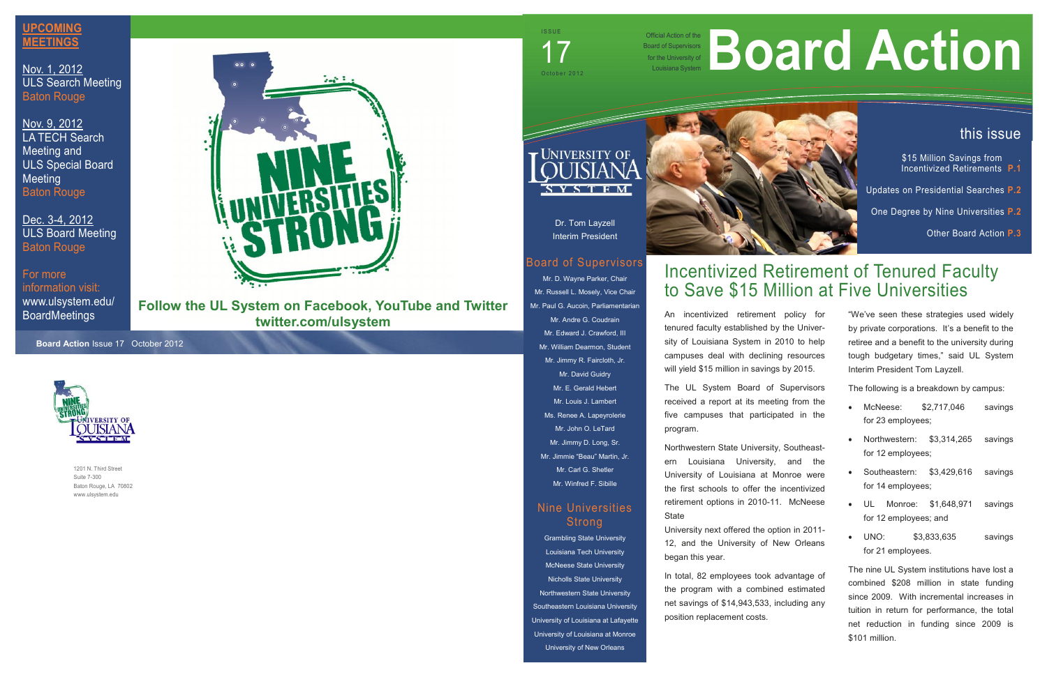## Incentivized Retirement of Tenured Faculty to Save \$15 Million at Five Universities

Official Action of the Board of Supervisors for the University of Board of Supervisors<br>for the University of<br>Louisiana System



1201 N. Third Street Suite 7-300 Baton Rouge, LA 70802 www.ulsystem.edu



Dr. Tom Layzell Interim President

## Board of Supervisors

## Nine Universities **Strong**

Mr. D. Wayne Parker, Chair Mr. Russell L. Mosely, Vice Chair Mr. Paul G. Aucoin, Parliamentarian Mr. Andre G. Coudrain Mr. Edward J. Crawford, III Mr. William Dearmon, Student Mr. Jimmy R. Faircloth, Jr. Mr. David Guidry Mr. E. Gerald Hebert Mr. Louis J. Lambert Ms. Renee A. Lapeyrolerie Mr. John O. LeTard Mr. Jimmy D. Long, Sr. Mr. Jimmie "Beau" Martin, Jr. Mr. Carl G. Shetler Mr. Winfred F. Sibille

Northwestern State University, Southeastern Louisiana University, and the University of Louisiana at Monroe were the first schools to offer the incentivized retirement options in 2010-11. McNeese . UL **State** 

Grambling State University Louisiana Tech University McNeese State University Nicholls State University Northwestern State University Southeastern Louisiana University University of Louisiana at Lafayette University of Louisiana at Monroe University of New Orleans



\$15 Million Savings from Incentivized Retirements **P.1**

**Board Action** Issue 17 October 2012



An incentivized retirement policy for tenured faculty established by the University of Louisiana System in 2010 to help campuses deal with declining resources will yield \$15 million in savings by 2015.

The UL System Board of Supervisors received a report at its meeting from the five campuses that participated in the program.

University next offered the option in 2011- 12, and the University of New Orleans began this year.

In total, 82 employees took advantage of the program with a combined estimated net savings of \$14,943,533, including any position replacement costs.

# **Action of the University of Board of Supervisors**

**Follow the UL System on Facebook, YouTube and Twitter twitter.com/ulsystem**

 $17$  october 2012

I SSUE<br>I SSUE<br>I TELEVISION

## this issue

Updates on Presidential Searches **P.2**

One Degree by Nine Universities **P.2**

Other Board Action **P.3**

"We've seen these strategies used widely by private corporations. It's a benefit to the retiree and a benefit to the university during tough budgetary times," said UL System Interim President Tom Layzell.

The following is a breakdown by campus:

- McNeese: \$2,717,046 savings for 23 employees;
- Northwestern: \$3,314,265 savings for 12 employees;
- Southeastern: \$3,429,616 savings for 14 employees;
- Monroe: \$1,648,971 savings for 12 employees; and
- \$3,833,635 savings for 21 employees.

The nine UL System institutions have lost a combined \$208 million in state funding since 2009. With incremental increases in tuition in return for performance, the total net reduction in funding since 2009 is \$101 million.

## **UPCOMING MEETINGS**

Nov. 1, 2012 ULS Search Meeting Baton Rouge

Nov. 9, 2012 LA TECH Search Meeting and ULS Special Board Meeting Baton Rouge

Dec. 3-4, 2012 ULS Board Meeting Baton Rouge

For more information visit: www.ulsystem.edu/ BoardMeetings